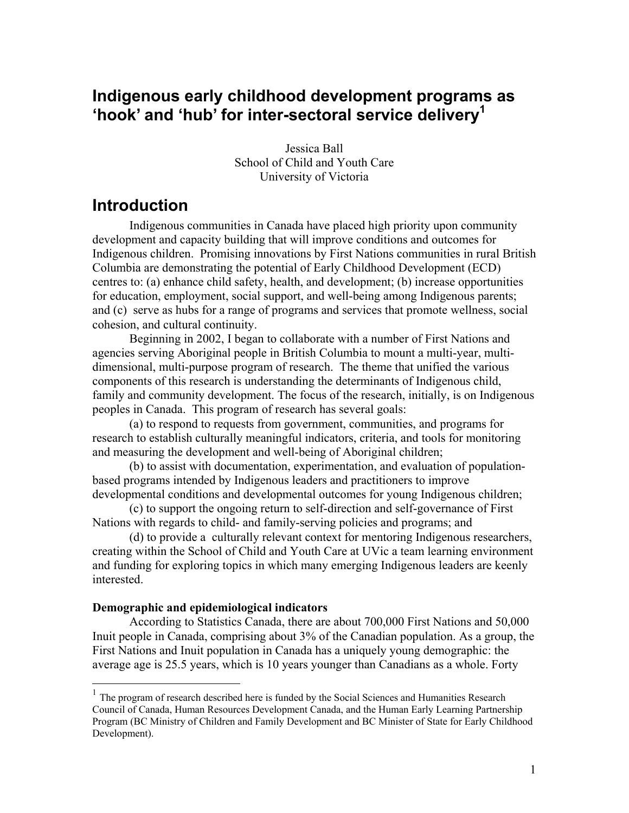## **Indigenous early childhood development programs as 'hook' and 'hub' for inter-sectoral service deliver[y1](#page-0-0)**

Jessica Ball School of Child and Youth Care University of Victoria

# **Introduction**

Indigenous communities in Canada have placed high priority upon community development and capacity building that will improve conditions and outcomes for Indigenous children. Promising innovations by First Nations communities in rural British Columbia are demonstrating the potential of Early Childhood Development (ECD) centres to: (a) enhance child safety, health, and development; (b) increase opportunities for education, employment, social support, and well-being among Indigenous parents; and (c) serve as hubs for a range of programs and services that promote wellness, social cohesion, and cultural continuity.

Beginning in 2002, I began to collaborate with a number of First Nations and agencies serving Aboriginal people in British Columbia to mount a multi-year, multidimensional, multi-purpose program of research. The theme that unified the various components of this research is understanding the determinants of Indigenous child, family and community development. The focus of the research, initially, is on Indigenous peoples in Canada. This program of research has several goals:

(a) to respond to requests from government, communities, and programs for research to establish culturally meaningful indicators, criteria, and tools for monitoring and measuring the development and well-being of Aboriginal children;

(b) to assist with documentation, experimentation, and evaluation of populationbased programs intended by Indigenous leaders and practitioners to improve developmental conditions and developmental outcomes for young Indigenous children;

(c) to support the ongoing return to self-direction and self-governance of First Nations with regards to child- and family-serving policies and programs; and

(d) to provide a culturally relevant context for mentoring Indigenous researchers, creating within the School of Child and Youth Care at UVic a team learning environment and funding for exploring topics in which many emerging Indigenous leaders are keenly interested.

### **Demographic and epidemiological indicators**

 $\overline{a}$ 

According to Statistics Canada, there are about 700,000 First Nations and 50,000 Inuit people in Canada, comprising about 3% of the Canadian population. As a group, the First Nations and Inuit population in Canada has a uniquely young demographic: the average age is 25.5 years, which is 10 years younger than Canadians as a whole. Forty

<span id="page-0-0"></span><sup>&</sup>lt;sup>1</sup> The program of research described here is funded by the Social Sciences and Humanities Research Council of Canada, Human Resources Development Canada, and the Human Early Learning Partnership Program (BC Ministry of Children and Family Development and BC Minister of State for Early Childhood Development).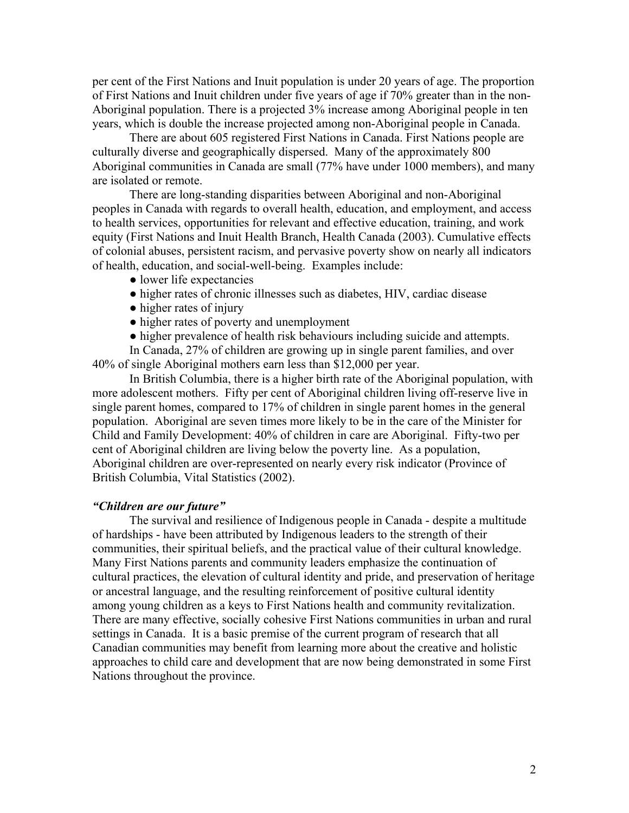per cent of the First Nations and Inuit population is under 20 years of age. The proportion of First Nations and Inuit children under five years of age if 70% greater than in the non-Aboriginal population. There is a projected 3% increase among Aboriginal people in ten years, which is double the increase projected among non-Aboriginal people in Canada.

There are about 605 registered First Nations in Canada. First Nations people are culturally diverse and geographically dispersed. Many of the approximately 800 Aboriginal communities in Canada are small (77% have under 1000 members), and many are isolated or remote.

There are long-standing disparities between Aboriginal and non-Aboriginal peoples in Canada with regards to overall health, education, and employment, and access to health services, opportunities for relevant and effective education, training, and work equity (First Nations and Inuit Health Branch, Health Canada (2003). Cumulative effects of colonial abuses, persistent racism, and pervasive poverty show on nearly all indicators of health, education, and social-well-being. Examples include:

- lower life expectancies
- higher rates of chronic illnesses such as diabetes, HIV, cardiac disease
- higher rates of injury
- higher rates of poverty and unemployment

• higher prevalence of health risk behaviours including suicide and attempts.

In Canada, 27% of children are growing up in single parent families, and over 40% of single Aboriginal mothers earn less than \$12,000 per year.

In British Columbia, there is a higher birth rate of the Aboriginal population, with more adolescent mothers. Fifty per cent of Aboriginal children living off-reserve live in single parent homes, compared to 17% of children in single parent homes in the general population. Aboriginal are seven times more likely to be in the care of the Minister for Child and Family Development: 40% of children in care are Aboriginal. Fifty-two per cent of Aboriginal children are living below the poverty line. As a population, Aboriginal children are over-represented on nearly every risk indicator (Province of British Columbia, Vital Statistics (2002).

#### *"Children are our future"*

The survival and resilience of Indigenous people in Canada - despite a multitude of hardships - have been attributed by Indigenous leaders to the strength of their communities, their spiritual beliefs, and the practical value of their cultural knowledge. Many First Nations parents and community leaders emphasize the continuation of cultural practices, the elevation of cultural identity and pride, and preservation of heritage or ancestral language, and the resulting reinforcement of positive cultural identity among young children as a keys to First Nations health and community revitalization. There are many effective, socially cohesive First Nations communities in urban and rural settings in Canada. It is a basic premise of the current program of research that all Canadian communities may benefit from learning more about the creative and holistic approaches to child care and development that are now being demonstrated in some First Nations throughout the province.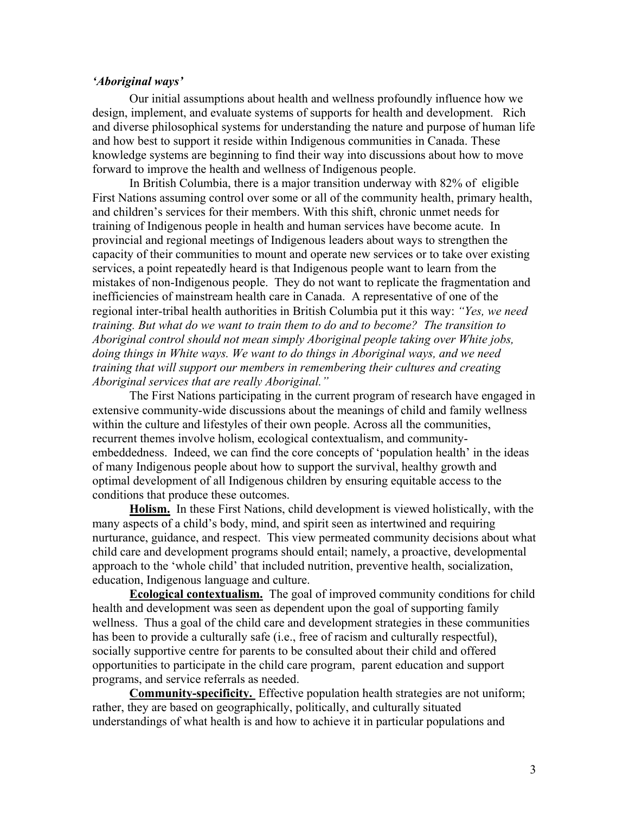### *'Aboriginal ways'*

Our initial assumptions about health and wellness profoundly influence how we design, implement, and evaluate systems of supports for health and development. Rich and diverse philosophical systems for understanding the nature and purpose of human life and how best to support it reside within Indigenous communities in Canada. These knowledge systems are beginning to find their way into discussions about how to move forward to improve the health and wellness of Indigenous people.

In British Columbia, there is a major transition underway with 82% of eligible First Nations assuming control over some or all of the community health, primary health, and children's services for their members. With this shift, chronic unmet needs for training of Indigenous people in health and human services have become acute. In provincial and regional meetings of Indigenous leaders about ways to strengthen the capacity of their communities to mount and operate new services or to take over existing services, a point repeatedly heard is that Indigenous people want to learn from the mistakes of non-Indigenous people. They do not want to replicate the fragmentation and inefficiencies of mainstream health care in Canada. A representative of one of the regional inter-tribal health authorities in British Columbia put it this way: *"Yes, we need training. But what do we want to train them to do and to become? The transition to Aboriginal control should not mean simply Aboriginal people taking over White jobs, doing things in White ways. We want to do things in Aboriginal ways, and we need training that will support our members in remembering their cultures and creating Aboriginal services that are really Aboriginal."* 

The First Nations participating in the current program of research have engaged in extensive community-wide discussions about the meanings of child and family wellness within the culture and lifestyles of their own people. Across all the communities, recurrent themes involve holism, ecological contextualism, and communityembeddedness. Indeed, we can find the core concepts of 'population health' in the ideas of many Indigenous people about how to support the survival, healthy growth and optimal development of all Indigenous children by ensuring equitable access to the conditions that produce these outcomes.

**Holism.** In these First Nations, child development is viewed holistically, with the many aspects of a child's body, mind, and spirit seen as intertwined and requiring nurturance, guidance, and respect. This view permeated community decisions about what child care and development programs should entail; namely, a proactive, developmental approach to the 'whole child' that included nutrition, preventive health, socialization, education, Indigenous language and culture.

**Ecological contextualism.** The goal of improved community conditions for child health and development was seen as dependent upon the goal of supporting family wellness. Thus a goal of the child care and development strategies in these communities has been to provide a culturally safe (i.e., free of racism and culturally respectful), socially supportive centre for parents to be consulted about their child and offered opportunities to participate in the child care program, parent education and support programs, and service referrals as needed.

**Community-specificity.** Effective population health strategies are not uniform; rather, they are based on geographically, politically, and culturally situated understandings of what health is and how to achieve it in particular populations and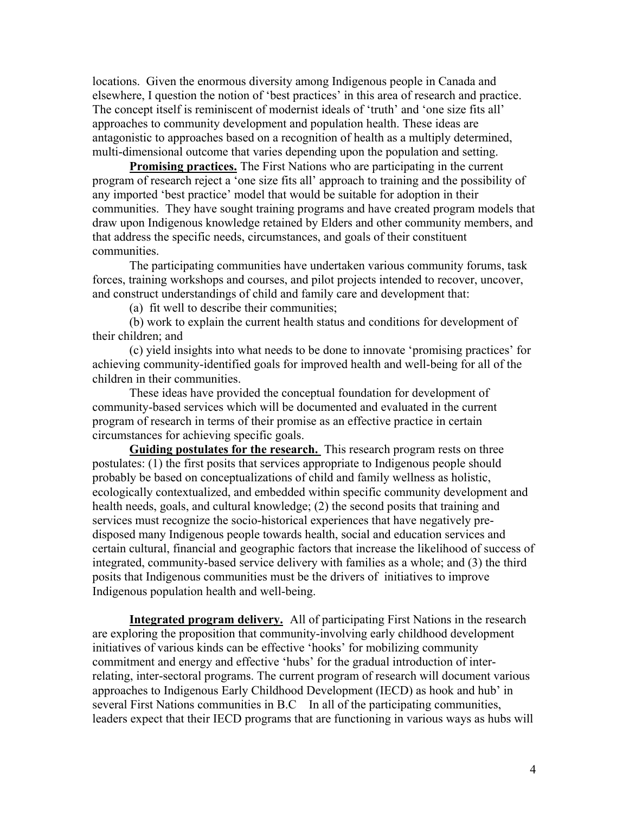locations. Given the enormous diversity among Indigenous people in Canada and elsewhere, I question the notion of 'best practices' in this area of research and practice. The concept itself is reminiscent of modernist ideals of 'truth' and 'one size fits all' approaches to community development and population health. These ideas are antagonistic to approaches based on a recognition of health as a multiply determined, multi-dimensional outcome that varies depending upon the population and setting.

**Promising practices.** The First Nations who are participating in the current program of research reject a 'one size fits all' approach to training and the possibility of any imported 'best practice' model that would be suitable for adoption in their communities. They have sought training programs and have created program models that draw upon Indigenous knowledge retained by Elders and other community members, and that address the specific needs, circumstances, and goals of their constituent communities.

The participating communities have undertaken various community forums, task forces, training workshops and courses, and pilot projects intended to recover, uncover, and construct understandings of child and family care and development that:

(a) fit well to describe their communities;

(b) work to explain the current health status and conditions for development of their children; and

(c) yield insights into what needs to be done to innovate 'promising practices' for achieving community-identified goals for improved health and well-being for all of the children in their communities.

These ideas have provided the conceptual foundation for development of community-based services which will be documented and evaluated in the current program of research in terms of their promise as an effective practice in certain circumstances for achieving specific goals.

**Guiding postulates for the research.** This research program rests on three postulates: (1) the first posits that services appropriate to Indigenous people should probably be based on conceptualizations of child and family wellness as holistic, ecologically contextualized, and embedded within specific community development and health needs, goals, and cultural knowledge; (2) the second posits that training and services must recognize the socio-historical experiences that have negatively predisposed many Indigenous people towards health, social and education services and certain cultural, financial and geographic factors that increase the likelihood of success of integrated, community-based service delivery with families as a whole; and (3) the third posits that Indigenous communities must be the drivers of initiatives to improve Indigenous population health and well-being.

**Integrated program delivery.** All of participating First Nations in the research are exploring the proposition that community-involving early childhood development initiatives of various kinds can be effective 'hooks' for mobilizing community commitment and energy and effective 'hubs' for the gradual introduction of interrelating, inter-sectoral programs. The current program of research will document various approaches to Indigenous Early Childhood Development (IECD) as hook and hub' in several First Nations communities in B.C In all of the participating communities, leaders expect that their IECD programs that are functioning in various ways as hubs will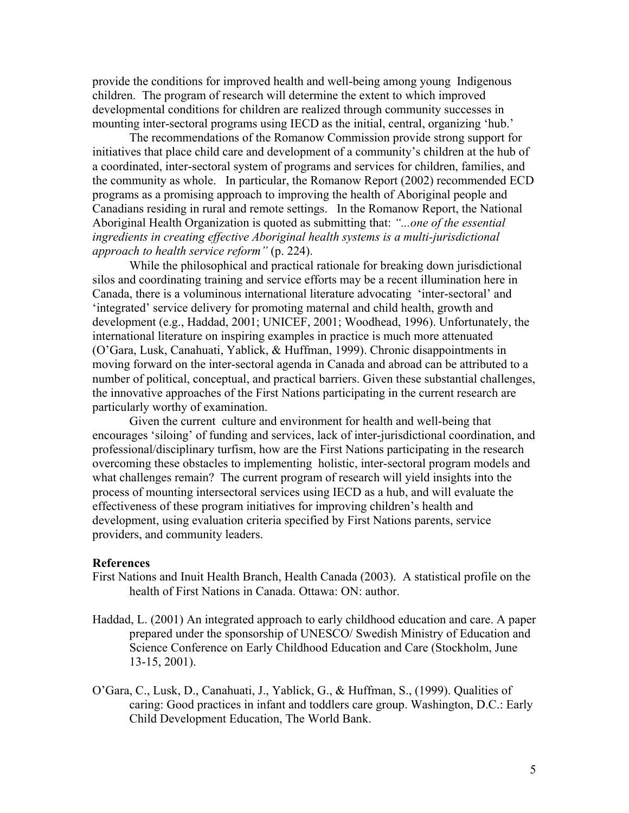provide the conditions for improved health and well-being among young Indigenous children. The program of research will determine the extent to which improved developmental conditions for children are realized through community successes in mounting inter-sectoral programs using IECD as the initial, central, organizing 'hub.'

The recommendations of the Romanow Commission provide strong support for initiatives that place child care and development of a community's children at the hub of a coordinated, inter-sectoral system of programs and services for children, families, and the community as whole. In particular, the Romanow Report (2002) recommended ECD programs as a promising approach to improving the health of Aboriginal people and Canadians residing in rural and remote settings. In the Romanow Report, the National Aboriginal Health Organization is quoted as submitting that: *"...one of the essential ingredients in creating effective Aboriginal health systems is a multi-jurisdictional approach to health service reform"* (p. 224).

While the philosophical and practical rationale for breaking down jurisdictional silos and coordinating training and service efforts may be a recent illumination here in Canada, there is a voluminous international literature advocating 'inter-sectoral' and 'integrated' service delivery for promoting maternal and child health, growth and development (e.g., Haddad, 2001; UNICEF, 2001; Woodhead, 1996). Unfortunately, the international literature on inspiring examples in practice is much more attenuated (O'Gara, Lusk, Canahuati, Yablick, & Huffman, 1999). Chronic disappointments in moving forward on the inter-sectoral agenda in Canada and abroad can be attributed to a number of political, conceptual, and practical barriers. Given these substantial challenges, the innovative approaches of the First Nations participating in the current research are particularly worthy of examination.

Given the current culture and environment for health and well-being that encourages 'siloing' of funding and services, lack of inter-jurisdictional coordination, and professional/disciplinary turfism, how are the First Nations participating in the research overcoming these obstacles to implementing holistic, inter-sectoral program models and what challenges remain? The current program of research will yield insights into the process of mounting intersectoral services using IECD as a hub, and will evaluate the effectiveness of these program initiatives for improving children's health and development, using evaluation criteria specified by First Nations parents, service providers, and community leaders.

#### **References**

- First Nations and Inuit Health Branch, Health Canada (2003). A statistical profile on the health of First Nations in Canada. Ottawa: ON: author.
- Haddad, L. (2001) An integrated approach to early childhood education and care. A paper prepared under the sponsorship of UNESCO/ Swedish Ministry of Education and Science Conference on Early Childhood Education and Care (Stockholm, June 13-15, 2001).
- O'Gara, C., Lusk, D., Canahuati, J., Yablick, G., & Huffman, S., (1999). Qualities of caring: Good practices in infant and toddlers care group. Washington, D.C.: Early Child Development Education, The World Bank.